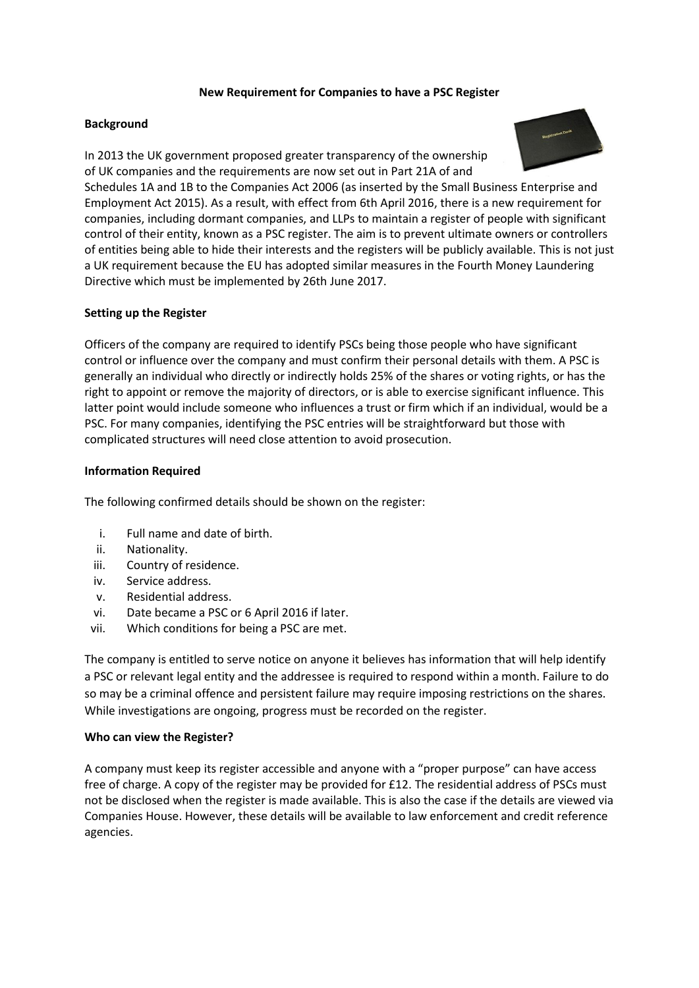## **New Requirement for Companies to have a PSC Register**

## **Background**



In 2013 the UK government proposed greater transparency of the ownership of UK companies and the requirements are now set out in Part 21A of and Schedules 1A and 1B to the Companies Act 2006 (as inserted by the Small Business Enterprise and Employment Act 2015). As a result, with effect from 6th April 2016, there is a new requirement for companies, including dormant companies, and LLPs to maintain a register of people with significant control of their entity, known as a PSC register. The aim is to prevent ultimate owners or controllers of entities being able to hide their interests and the registers will be publicly available. This is not just a UK requirement because the EU has adopted similar measures in the Fourth Money Laundering Directive which must be implemented by 26th June 2017.

# **Setting up the Register**

Officers of the company are required to identify PSCs being those people who have significant control or influence over the company and must confirm their personal details with them. A PSC is generally an individual who directly or indirectly holds 25% of the shares or voting rights, or has the right to appoint or remove the majority of directors, or is able to exercise significant influence. This latter point would include someone who influences a trust or firm which if an individual, would be a PSC. For many companies, identifying the PSC entries will be straightforward but those with complicated structures will need close attention to avoid prosecution.

### **Information Required**

The following confirmed details should be shown on the register:

- i. Full name and date of birth.
- ii. Nationality.
- iii. Country of residence.
- iv. Service address.
- v. Residential address.
- vi. Date became a PSC or 6 April 2016 if later.
- vii. Which conditions for being a PSC are met.

The company is entitled to serve notice on anyone it believes has information that will help identify a PSC or relevant legal entity and the addressee is required to respond within a month. Failure to do so may be a criminal offence and persistent failure may require imposing restrictions on the shares. While investigations are ongoing, progress must be recorded on the register.

#### **Who can view the Register?**

A company must keep its register accessible and anyone with a "proper purpose" can have access free of charge. A copy of the register may be provided for £12. The residential address of PSCs must not be disclosed when the register is made available. This is also the case if the details are viewed via Companies House. However, these details will be available to law enforcement and credit reference agencies.